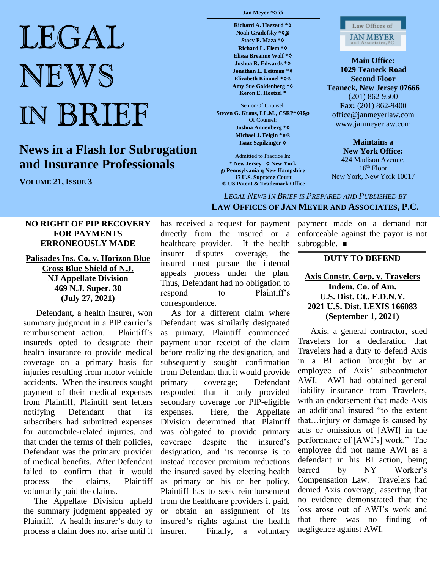# LEGAL NEWS IN BRIEF

## **News in a Flash for Subrogation and Insurance Professionals**

**VOLUME 21, ISSUE 3**

#### **Jan Meyer \***♢ **Ʊ**

**Richard A. Hazzard \***♢ **Noah Gradofsky \***♢℘ **Stacy P. Maza \***♢ **Richard L. Elem \***♢ **Elissa Breanne Wolf \***♢ **Joshua R. Edwards \***♢ **Jonathan L. Leitman** \*♢ **Elizabeth Kimmel \***♢**® Amy Sue Goldenberg \***♢ **Keron E. Hoetzel \***

Senior Of Counsel: **Steven G. Kraus, LL.M., CSRP\***♢**Ʊ**℘ Of Counsel: **Joshua Annenberg \***♢ **Michael J. Feigin \***♢**® Isaac Szpilzinger** ♢

Admitted to Practice In: **\* New Jersey** ♢ **New York** ℘ **Pennsylvania η New Hampshire Ʊ U.S. Supreme Court ® US Patent & Trademark Office**



**Main Office: 1029 Teaneck Road Second Floor Teaneck, New Jersey 07666** (201) 862-9500 **Fax:** (201) 862-9400 office@janmeyerlaw.com www.janmeyerlaw.com

**Maintains a New York Office:** 424 Madison Avenue,  $16<sup>th</sup>$  Floor New York, New York 10017

### *LEGAL NEWS IN BRIEF IS PREPARED AND PUBLISHED BY*  **LAW OFFICES OF JAN MEYER AND ASSOCIATES, P.C.**

#### **NO RIGHT OF PIP RECOVERY FOR PAYMENTS ERRONEOUSLY MADE**

#### **Palisades Ins. Co. v. Horizon Blue Cross Blue Shield of N.J. NJ Appellate Division 469 N.J. Super. 30 (July 27, 2021)**

 Defendant, a health insurer, won summary judgment in a PIP carrier's reimbursement action. Plaintiff's insureds opted to designate their health insurance to provide medical coverage on a primary basis for injuries resulting from motor vehicle accidents. When the insureds sought payment of their medical expenses from Plaintiff, Plaintiff sent letters notifying Defendant that its subscribers had submitted expenses for automobile-related injuries, and that under the terms of their policies, Defendant was the primary provider of medical benefits. After Defendant failed to confirm that it would process the claims, Plaintiff voluntarily paid the claims.

 The Appellate Division upheld the summary judgment appealed by Plaintiff. A health insurer's duty to process a claim does not arise until it has received a request for payment directly from the insured or a healthcare provider. If the health insurer disputes coverage, the insured must pursue the internal appeals process under the plan. Thus, Defendant had no obligation to respond to Plaintiff's correspondence.

 As for a different claim where Defendant was similarly designated as primary, Plaintiff commenced payment upon receipt of the claim before realizing the designation, and subsequently sought confirmation from Defendant that it would provide primary coverage; Defendant responded that it only provided secondary coverage for PIP-eligible expenses. Here, the Appellate Division determined that Plaintiff was obligated to provide primary coverage despite the insured's designation, and its recourse is to instead recover premium reductions the insured saved by electing health as primary on his or her policy. Plaintiff has to seek reimbursement from the healthcare providers it paid, or obtain an assignment of its insured's rights against the health insurer. Finally, a voluntary

payment made on a demand not enforceable against the payor is not subrogable. ■

#### **DUTY TO DEFEND**

#### **Axis Constr. Corp. v. Travelers Indem. Co. of Am. U.S. Dist. Ct., E.D.N.Y. 2021 U.S. Dist. LEXIS 166083 (September 1, 2021)**

 Axis, a general contractor, sued Travelers for a declaration that Travelers had a duty to defend Axis in a BI action brought by an employee of Axis' subcontractor AWI. AWI had obtained general liability insurance from Travelers, with an endorsement that made Axis an additional insured "to the extent that…injury or damage is caused by acts or omissions of [AWI] in the performance of [AWI's] work." The employee did not name AWI as a defendant in his BI action, being barred by NY Worker's Compensation Law. Travelers had denied Axis coverage, asserting that no evidence demonstrated that the loss arose out of AWI's work and that there was no finding of negligence against AWI.